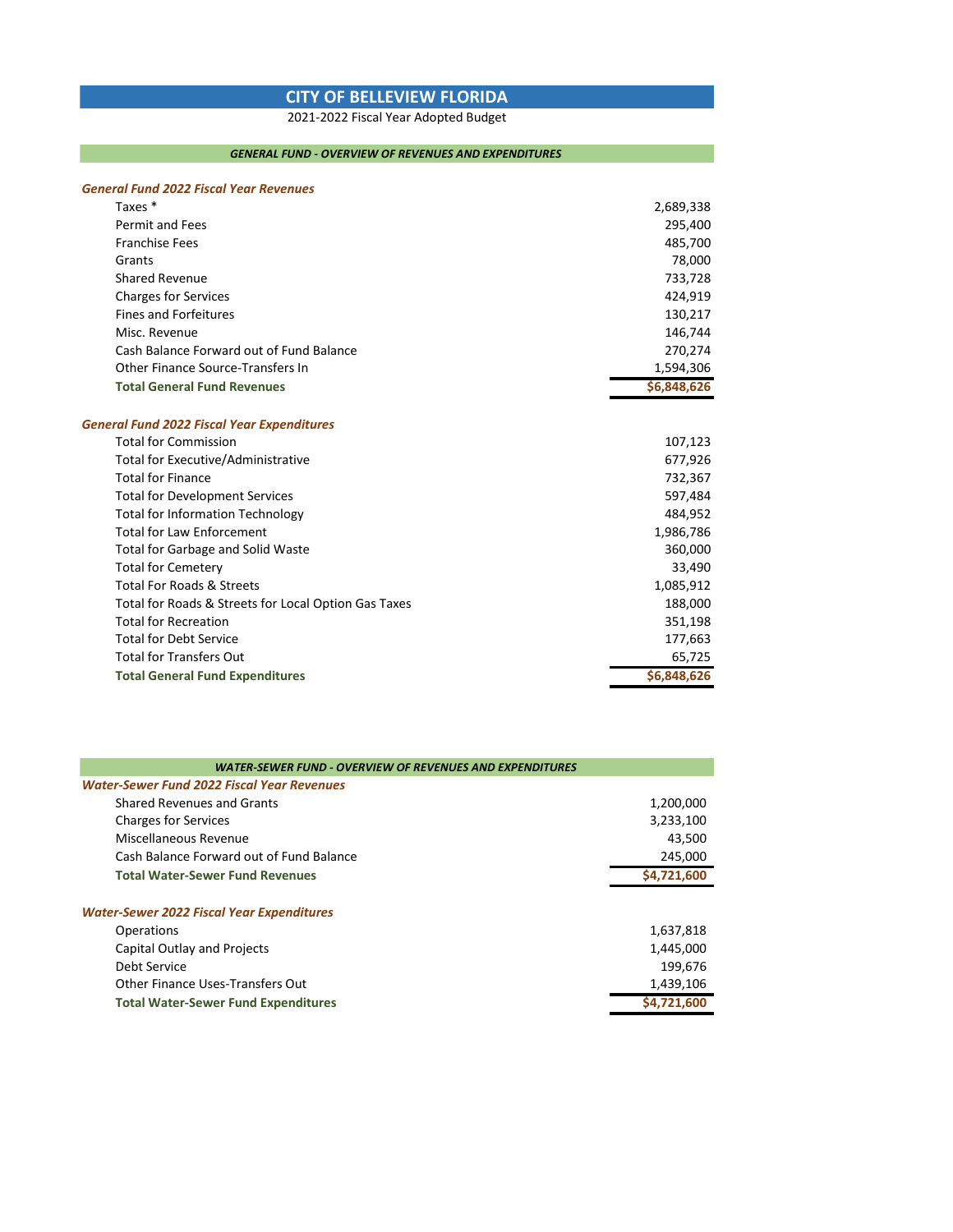## **CITY OF BELLEVIEW FLORIDA**

2021-2022 Fiscal Year Adopted Budget

## *GENERAL FUND - OVERVIEW OF REVENUES AND EXPENDITURES*

## *General Fund 2022 Fiscal Year Revenues*

| Taxes*                                               | 2,689,338   |
|------------------------------------------------------|-------------|
| Permit and Fees                                      | 295,400     |
| <b>Franchise Fees</b>                                | 485,700     |
| Grants                                               | 78,000      |
| <b>Shared Revenue</b>                                | 733,728     |
| <b>Charges for Services</b>                          | 424,919     |
| <b>Fines and Forfeitures</b>                         | 130,217     |
| Misc. Revenue                                        | 146,744     |
| Cash Balance Forward out of Fund Balance             | 270,274     |
| Other Finance Source-Transfers In                    | 1,594,306   |
| <b>Total General Fund Revenues</b>                   | \$6,848,626 |
| <b>General Fund 2022 Fiscal Year Expenditures</b>    |             |
| <b>Total for Commission</b>                          | 107,123     |
| <b>Total for Executive/Administrative</b>            | 677,926     |
| <b>Total for Finance</b>                             | 732,367     |
| <b>Total for Development Services</b>                | 597,484     |
| <b>Total for Information Technology</b>              | 484,952     |
| <b>Total for Law Enforcement</b>                     | 1,986,786   |
| <b>Total for Garbage and Solid Waste</b>             | 360,000     |
| <b>Total for Cemetery</b>                            | 33,490      |
| <b>Total For Roads &amp; Streets</b>                 | 1,085,912   |
| Total for Roads & Streets for Local Option Gas Taxes | 188,000     |
| <b>Total for Recreation</b>                          | 351,198     |
| <b>Total for Debt Service</b>                        | 177,663     |
| <b>Total for Transfers Out</b>                       | 65,725      |
| <b>Total General Fund Expenditures</b>               | \$6,848,626 |

| WATER-SEWER FUND - OVERVIEW OF REVENUES AND EXPENDITURES                        |                                   |
|---------------------------------------------------------------------------------|-----------------------------------|
| <b>Water-Sewer Fund 2022 Fiscal Year Revenues</b>                               |                                   |
| <b>Shared Revenues and Grants</b>                                               | 1,200,000                         |
| <b>Charges for Services</b>                                                     | 3,233,100                         |
| Miscellaneous Revenue                                                           | 43,500                            |
| Cash Balance Forward out of Fund Balance                                        | 245,000                           |
| <b>Total Water-Sewer Fund Revenues</b>                                          | \$4,721,600                       |
| <b>Water-Sewer 2022 Fiscal Year Expenditures</b>                                |                                   |
| Operations                                                                      | 1,637,818                         |
| Capital Outlay and Projects<br>Debt Service<br>Other Finance Uses-Transfers Out | 1,445,000<br>199.676<br>1,439,106 |
| <b>Total Water-Sewer Fund Expenditures</b>                                      | \$4,721,600                       |